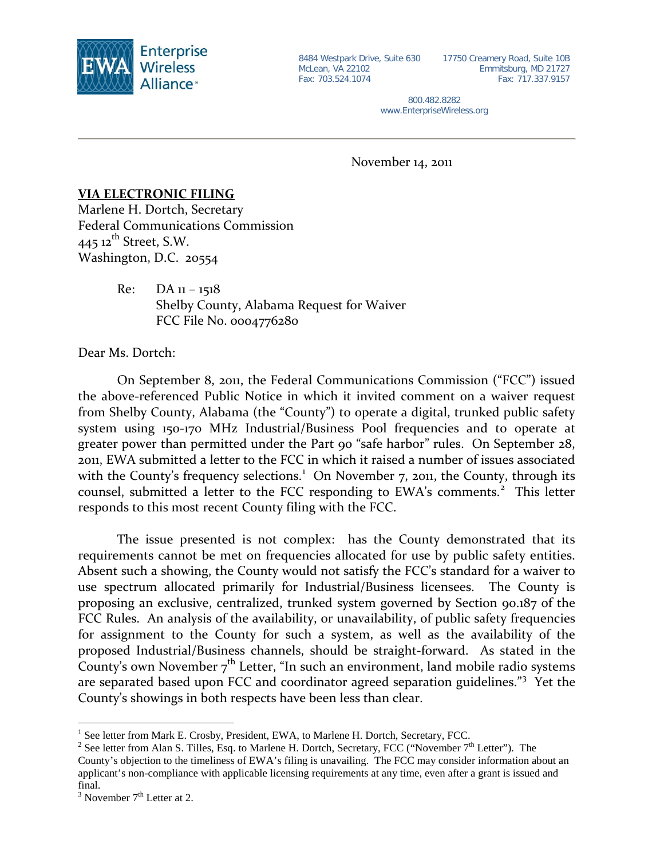

8484 Westpark Drive, Suite 630 McLean, VA 22102 Fax: 703.524.1074

17750 Creamery Road, Suite 10B Emmitsburg, MD 21727 Fax: 717.337.9157

800.482.8282 www.EnterpriseWireless.org

November 14, 2011

## **VIA ELECTRONIC FILING**

Marlene H. Dortch, Secretary Federal Communications Commission  $445$  12<sup>th</sup> Street, S.W. Washington, D.C. 20554

> $Re: DA_{11} - 1518$ Shelby County, Alabama Request for Waiver FCC File No. 0004776280

Dear Ms. Dortch:

On September 8, 2011, the Federal Communications Commission ("FCC") issued the above-referenced Public Notice in which it invited comment on a waiver request from Shelby County, Alabama (the "County") to operate a digital, trunked public safety system using 150-170 MHz Industrial/Business Pool frequencies and to operate at greater power than permitted under the Part 90 "safe harbor" rules. On September 28, 2011, EWA submitted a letter to the FCC in which it raised a number of issues associated with the County's frequency selections.<sup>[1](#page-0-0)</sup> On November 7, 2011, the County, through its counsel, submitted a letter to the FCC responding to EWA's comments.<sup>[2](#page-0-1)</sup> This letter responds to this most recent County filing with the FCC.

The issue presented is not complex: has the County demonstrated that its requirements cannot be met on frequencies allocated for use by public safety entities. Absent such a showing, the County would not satisfy the FCC's standard for a waiver to use spectrum allocated primarily for Industrial/Business licensees. The County is proposing an exclusive, centralized, trunked system governed by Section 90.187 of the FCC Rules. An analysis of the availability, or unavailability, of public safety frequencies for assignment to the County for such a system, as well as the availability of the proposed Industrial/Business channels, should be straight-forward. As stated in the County's own November  $7<sup>th</sup>$  Letter, "In such an environment, land mobile radio systems are separated based upon FCC and coordinator agreed separation guidelines."<sup>[3](#page-0-2)</sup> Yet the County's showings in both respects have been less than clear.

<span id="page-0-0"></span><sup>&</sup>lt;sup>1</sup> See letter from Mark E. Crosby, President, EWA, to Marlene H. Dortch, Secretary, FCC.

<span id="page-0-1"></span><sup>&</sup>lt;sup>2</sup> See letter from Alan S. Tilles, Esq. to Marlene H. Dortch, Secretary, FCC ("November  $7<sup>th</sup>$  Letter"). The County's objection to the timeliness of EWA's filing is unavailing. The FCC may consider information about an applicant's non-compliance with applicable licensing requirements at any time, even after a grant is issued and final.

<span id="page-0-2"></span> $3$  November  $7<sup>th</sup>$  Letter at 2.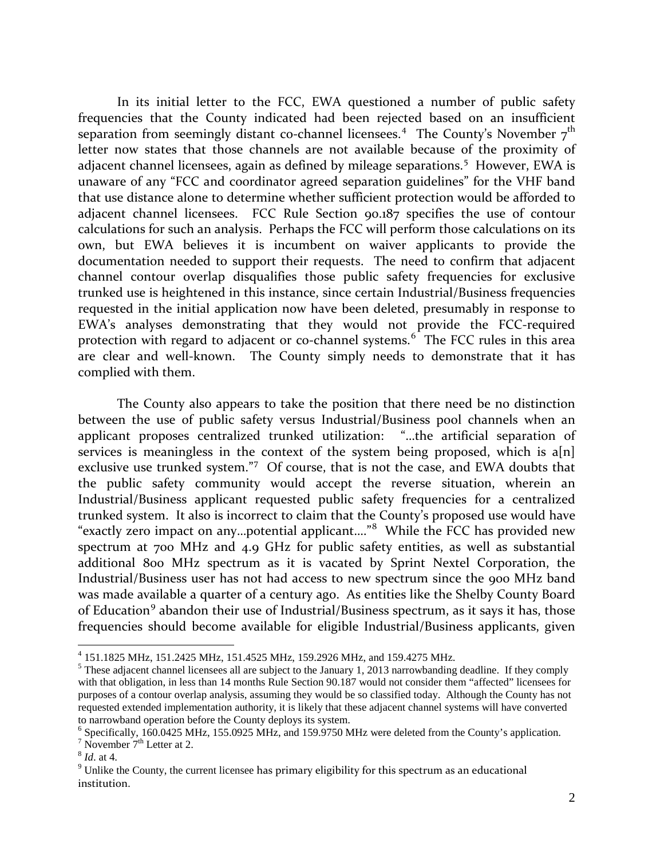In its initial letter to the FCC, EWA questioned a number of public safety frequencies that the County indicated had been rejected based on an insufficient separation from seemingly distant co-channel licensees.<sup>[4](#page-1-0)</sup> The County's November  $7<sup>th</sup>$ letter now states that those channels are not available because of the proximity of adjacent channel licensees, again as defined by mileage separations. [5](#page-1-1) However, EWA is unaware of any "FCC and coordinator agreed separation guidelines" for the VHF band that use distance alone to determine whether sufficient protection would be afforded to adjacent channel licensees. FCC Rule Section 90.187 specifies the use of contour calculations for such an analysis. Perhaps the FCC will perform those calculations on its own, but EWA believes it is incumbent on waiver applicants to provide the documentation needed to support their requests. The need to confirm that adjacent channel contour overlap disqualifies those public safety frequencies for exclusive trunked use is heightened in this instance, since certain Industrial/Business frequencies requested in the initial application now have been deleted, presumably in response to EWA's analyses demonstrating that they would not provide the FCC-required protection with regard to adjacent or co-channel systems.<sup>[6](#page-1-2)</sup> The FCC rules in this area are clear and well-known. The County simply needs to demonstrate that it has complied with them.

The County also appears to take the position that there need be no distinction between the use of public safety versus Industrial/Business pool channels when an applicant proposes centralized trunked utilization: "…the artificial separation of services is meaningless in the context of the system being proposed, which is  $a[n]$ exclusive use trunked system."<sup>[7](#page-1-3)</sup> Of course, that is not the case, and EWA doubts that the public safety community would accept the reverse situation, wherein an Industrial/Business applicant requested public safety frequencies for a centralized trunked system. It also is incorrect to claim that the County's proposed use would have "exactly zero impact on any...potential applicant...."<sup>[8](#page-1-4)</sup> While the FCC has provided new spectrum at 700 MHz and 4.9 GHz for public safety entities, as well as substantial additional 800 MHz spectrum as it is vacated by Sprint Nextel Corporation, the Industrial/Business user has not had access to new spectrum since the 900 MHz band was made available a quarter of a century ago. As entities like the Shelby County Board of Education<sup>[9](#page-1-5)</sup> abandon their use of Industrial/Business spectrum, as it says it has, those frequencies should become available for eligible Industrial/Business applicants, given

<span id="page-1-0"></span> <sup>4</sup> 151.1825 MHz, 151.2425 MHz, 151.4525 MHz, 159.2926 MHz, and 159.4275 MHz.

<span id="page-1-1"></span> $<sup>5</sup>$  These adjacent channel licensees all are subject to the January 1, 2013 narrowbanding deadline. If they comply</sup> with that obligation, in less than 14 months Rule Section 90.187 would not consider them "affected" licensees for purposes of a contour overlap analysis, assuming they would be so classified today. Although the County has not requested extended implementation authority, it is likely that these adjacent channel systems will have converted to narrowband operation before the County deploys its system.

<span id="page-1-2"></span><sup>6</sup> Specifically, 160.0425 MHz, 155.0925 MHz, and 159.9750 MHz were deleted from the County's application.

<span id="page-1-3"></span> $^7$  November  $7^{\text{th}}$  Letter at 2.<br><sup>8</sup> *Id.* at 4.

<span id="page-1-4"></span>

<span id="page-1-5"></span> $9$  Unlike the County, the current licensee has primary eligibility for this spectrum as an educational institution.